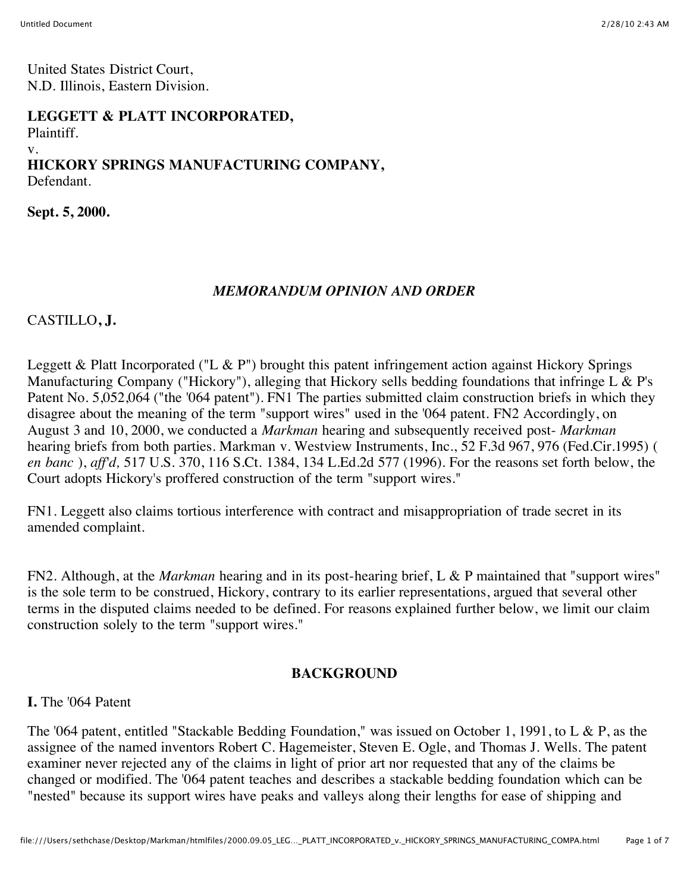United States District Court, N.D. Illinois, Eastern Division.

#### **LEGGETT & PLATT INCORPORATED,**

Plaintiff.

#### v.

#### **HICKORY SPRINGS MANUFACTURING COMPANY,** Defendant.

**Sept. 5, 2000.**

### *MEMORANDUM OPINION AND ORDER*

## CASTILLO**, J.**

Leggett & Platt Incorporated ("L & P") brought this patent infringement action against Hickory Springs Manufacturing Company ("Hickory"), alleging that Hickory sells bedding foundations that infringe L & P's Patent No. 5,052,064 ("the '064 patent"). FN1 The parties submitted claim construction briefs in which they disagree about the meaning of the term "support wires" used in the '064 patent. FN2 Accordingly, on August 3 and 10, 2000, we conducted a *Markman* hearing and subsequently received post- *Markman* hearing briefs from both parties. Markman v. Westview Instruments, Inc., 52 F.3d 967, 976 (Fed.Cir.1995) ( *en banc* ), *aff'd,* 517 U.S. 370, 116 S.Ct. 1384, 134 L.Ed.2d 577 (1996). For the reasons set forth below, the Court adopts Hickory's proffered construction of the term "support wires."

FN1. Leggett also claims tortious interference with contract and misappropriation of trade secret in its amended complaint.

FN2. Although, at the *Markman* hearing and in its post-hearing brief, L & P maintained that "support wires" is the sole term to be construed, Hickory, contrary to its earlier representations, argued that several other terms in the disputed claims needed to be defined. For reasons explained further below, we limit our claim construction solely to the term "support wires."

### **BACKGROUND**

# **I.** The '064 Patent

The '064 patent, entitled "Stackable Bedding Foundation," was issued on October 1, 1991, to L & P, as the assignee of the named inventors Robert C. Hagemeister, Steven E. Ogle, and Thomas J. Wells. The patent examiner never rejected any of the claims in light of prior art nor requested that any of the claims be changed or modified. The '064 patent teaches and describes a stackable bedding foundation which can be "nested" because its support wires have peaks and valleys along their lengths for ease of shipping and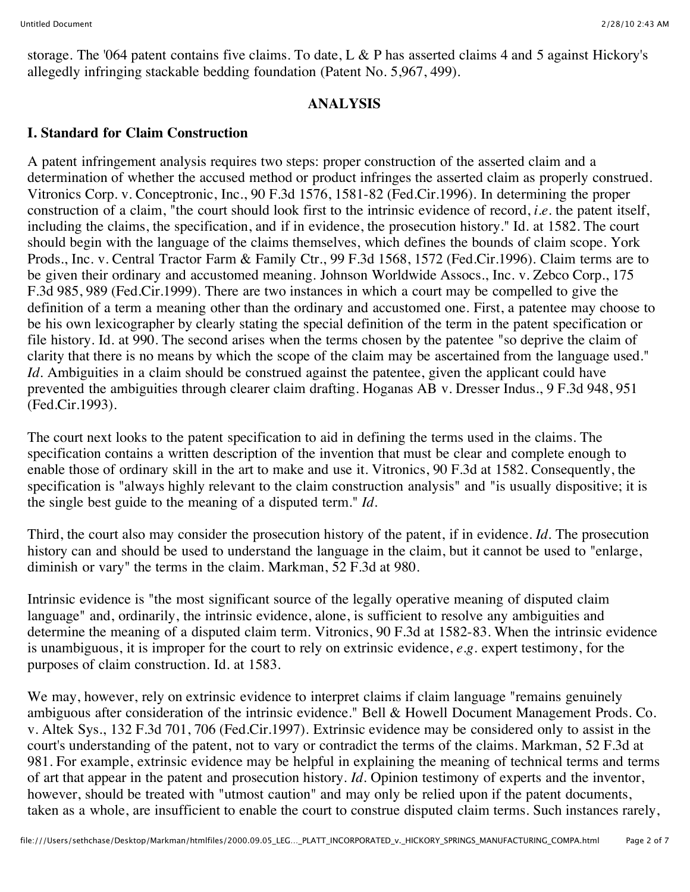storage. The '064 patent contains five claims. To date, L & P has asserted claims 4 and 5 against Hickory's allegedly infringing stackable bedding foundation (Patent No. 5,967, 499).

#### **ANALYSIS**

## **I. Standard for Claim Construction**

A patent infringement analysis requires two steps: proper construction of the asserted claim and a determination of whether the accused method or product infringes the asserted claim as properly construed. Vitronics Corp. v. Conceptronic, Inc., 90 F.3d 1576, 1581-82 (Fed.Cir.1996). In determining the proper construction of a claim, "the court should look first to the intrinsic evidence of record, *i.e.* the patent itself, including the claims, the specification, and if in evidence, the prosecution history." Id. at 1582. The court should begin with the language of the claims themselves, which defines the bounds of claim scope. York Prods., Inc. v. Central Tractor Farm & Family Ctr., 99 F.3d 1568, 1572 (Fed.Cir.1996). Claim terms are to be given their ordinary and accustomed meaning. Johnson Worldwide Assocs., Inc. v. Zebco Corp., 175 F.3d 985, 989 (Fed.Cir.1999). There are two instances in which a court may be compelled to give the definition of a term a meaning other than the ordinary and accustomed one. First, a patentee may choose to be his own lexicographer by clearly stating the special definition of the term in the patent specification or file history. Id. at 990. The second arises when the terms chosen by the patentee "so deprive the claim of clarity that there is no means by which the scope of the claim may be ascertained from the language used." *Id.* Ambiguities in a claim should be construed against the patentee, given the applicant could have prevented the ambiguities through clearer claim drafting. Hoganas AB v. Dresser Indus., 9 F.3d 948, 951 (Fed.Cir.1993).

The court next looks to the patent specification to aid in defining the terms used in the claims. The specification contains a written description of the invention that must be clear and complete enough to enable those of ordinary skill in the art to make and use it. Vitronics, 90 F.3d at 1582. Consequently, the specification is "always highly relevant to the claim construction analysis" and "is usually dispositive; it is the single best guide to the meaning of a disputed term." *Id.*

Third, the court also may consider the prosecution history of the patent, if in evidence. *Id.* The prosecution history can and should be used to understand the language in the claim, but it cannot be used to "enlarge, diminish or vary" the terms in the claim. Markman, 52 F.3d at 980.

Intrinsic evidence is "the most significant source of the legally operative meaning of disputed claim language" and, ordinarily, the intrinsic evidence, alone, is sufficient to resolve any ambiguities and determine the meaning of a disputed claim term. Vitronics, 90 F.3d at 1582-83. When the intrinsic evidence is unambiguous, it is improper for the court to rely on extrinsic evidence, *e.g.* expert testimony, for the purposes of claim construction. Id. at 1583.

We may, however, rely on extrinsic evidence to interpret claims if claim language "remains genuinely ambiguous after consideration of the intrinsic evidence." Bell & Howell Document Management Prods. Co. v. Altek Sys., 132 F.3d 701, 706 (Fed.Cir.1997). Extrinsic evidence may be considered only to assist in the court's understanding of the patent, not to vary or contradict the terms of the claims. Markman, 52 F.3d at 981. For example, extrinsic evidence may be helpful in explaining the meaning of technical terms and terms of art that appear in the patent and prosecution history. *Id.* Opinion testimony of experts and the inventor, however, should be treated with "utmost caution" and may only be relied upon if the patent documents, taken as a whole, are insufficient to enable the court to construe disputed claim terms. Such instances rarely,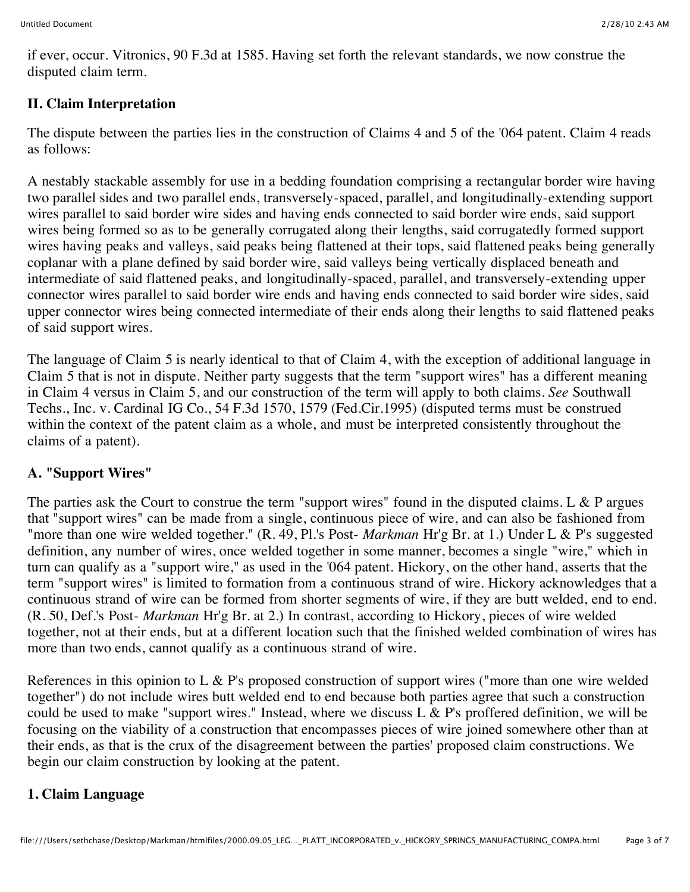if ever, occur. Vitronics, 90 F.3d at 1585. Having set forth the relevant standards, we now construe the disputed claim term.

## **II. Claim Interpretation**

The dispute between the parties lies in the construction of Claims 4 and 5 of the '064 patent. Claim 4 reads as follows:

A nestably stackable assembly for use in a bedding foundation comprising a rectangular border wire having two parallel sides and two parallel ends, transversely-spaced, parallel, and longitudinally-extending support wires parallel to said border wire sides and having ends connected to said border wire ends, said support wires being formed so as to be generally corrugated along their lengths, said corrugatedly formed support wires having peaks and valleys, said peaks being flattened at their tops, said flattened peaks being generally coplanar with a plane defined by said border wire, said valleys being vertically displaced beneath and intermediate of said flattened peaks, and longitudinally-spaced, parallel, and transversely-extending upper connector wires parallel to said border wire ends and having ends connected to said border wire sides, said upper connector wires being connected intermediate of their ends along their lengths to said flattened peaks of said support wires.

The language of Claim 5 is nearly identical to that of Claim 4, with the exception of additional language in Claim 5 that is not in dispute. Neither party suggests that the term "support wires" has a different meaning in Claim 4 versus in Claim 5, and our construction of the term will apply to both claims. *See* Southwall Techs., Inc. v. Cardinal IG Co., 54 F.3d 1570, 1579 (Fed.Cir.1995) (disputed terms must be construed within the context of the patent claim as a whole, and must be interpreted consistently throughout the claims of a patent).

# **A. "Support Wires"**

The parties ask the Court to construe the term "support wires" found in the disputed claims. L  $\&$  P argues that "support wires" can be made from a single, continuous piece of wire, and can also be fashioned from "more than one wire welded together." (R. 49, Pl.'s Post- *Markman* Hr'g Br. at 1.) Under L & P's suggested definition, any number of wires, once welded together in some manner, becomes a single "wire," which in turn can qualify as a "support wire," as used in the '064 patent. Hickory, on the other hand, asserts that the term "support wires" is limited to formation from a continuous strand of wire. Hickory acknowledges that a continuous strand of wire can be formed from shorter segments of wire, if they are butt welded, end to end. (R. 50, Def.'s Post- *Markman* Hr'g Br. at 2.) In contrast, according to Hickory, pieces of wire welded together, not at their ends, but at a different location such that the finished welded combination of wires has more than two ends, cannot qualify as a continuous strand of wire.

References in this opinion to L  $\&$  P's proposed construction of support wires ("more than one wire welded together") do not include wires butt welded end to end because both parties agree that such a construction could be used to make "support wires." Instead, where we discuss  $L & P$ 's proffered definition, we will be focusing on the viability of a construction that encompasses pieces of wire joined somewhere other than at their ends, as that is the crux of the disagreement between the parties' proposed claim constructions. We begin our claim construction by looking at the patent.

# **1. Claim Language**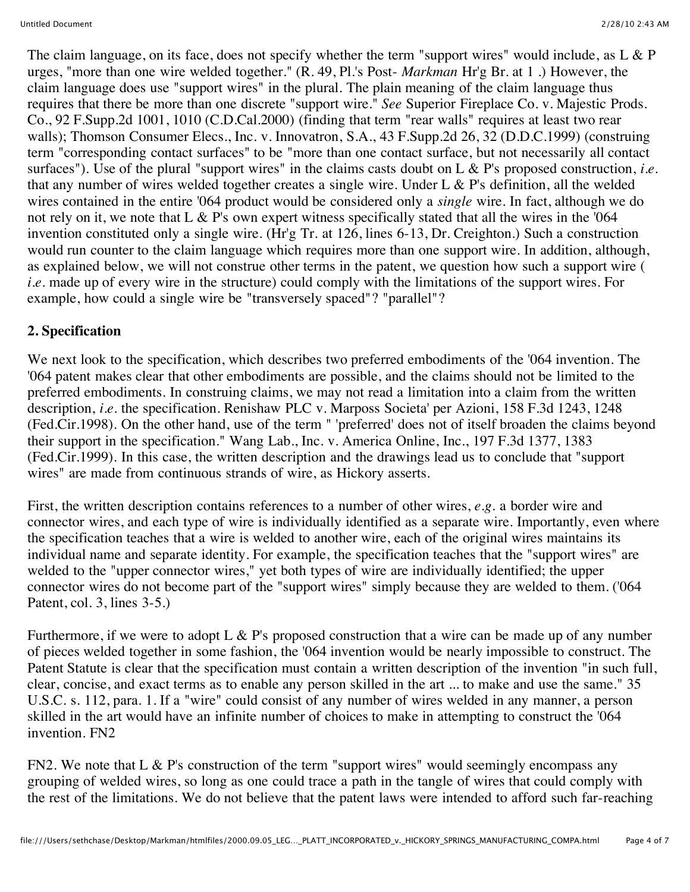The claim language, on its face, does not specify whether the term "support wires" would include, as L & P urges, "more than one wire welded together." (R. 49, Pl.'s Post- *Markman* Hr'g Br. at 1 .) However, the claim language does use "support wires" in the plural. The plain meaning of the claim language thus requires that there be more than one discrete "support wire." *See* Superior Fireplace Co. v. Majestic Prods. Co., 92 F.Supp.2d 1001, 1010 (C.D.Cal.2000) (finding that term "rear walls" requires at least two rear walls); Thomson Consumer Elecs., Inc. v. Innovatron, S.A., 43 F.Supp.2d 26, 32 (D.D.C.1999) (construing term "corresponding contact surfaces" to be "more than one contact surface, but not necessarily all contact surfaces"). Use of the plural "support wires" in the claims casts doubt on L & P's proposed construction, *i.e.* that any number of wires welded together creates a single wire. Under L  $\&$  P's definition, all the welded wires contained in the entire '064 product would be considered only a *single* wire. In fact, although we do not rely on it, we note that L & P's own expert witness specifically stated that all the wires in the '064 invention constituted only a single wire. (Hr'g Tr. at 126, lines 6-13, Dr. Creighton.) Such a construction would run counter to the claim language which requires more than one support wire. In addition, although, as explained below, we will not construe other terms in the patent, we question how such a support wire ( *i.e.* made up of every wire in the structure) could comply with the limitations of the support wires. For example, how could a single wire be "transversely spaced"? "parallel"?

## **2. Specification**

We next look to the specification, which describes two preferred embodiments of the '064 invention. The '064 patent makes clear that other embodiments are possible, and the claims should not be limited to the preferred embodiments. In construing claims, we may not read a limitation into a claim from the written description, *i.e.* the specification. Renishaw PLC v. Marposs Societa' per Azioni, 158 F.3d 1243, 1248 (Fed.Cir.1998). On the other hand, use of the term " 'preferred' does not of itself broaden the claims beyond their support in the specification." Wang Lab., Inc. v. America Online, Inc., 197 F.3d 1377, 1383 (Fed.Cir.1999). In this case, the written description and the drawings lead us to conclude that "support wires" are made from continuous strands of wire, as Hickory asserts.

First, the written description contains references to a number of other wires, *e.g.* a border wire and connector wires, and each type of wire is individually identified as a separate wire. Importantly, even where the specification teaches that a wire is welded to another wire, each of the original wires maintains its individual name and separate identity. For example, the specification teaches that the "support wires" are welded to the "upper connector wires," yet both types of wire are individually identified; the upper connector wires do not become part of the "support wires" simply because they are welded to them. ('064 Patent, col. 3, lines 3-5.)

Furthermore, if we were to adopt L  $\&$  P's proposed construction that a wire can be made up of any number of pieces welded together in some fashion, the '064 invention would be nearly impossible to construct. The Patent Statute is clear that the specification must contain a written description of the invention "in such full, clear, concise, and exact terms as to enable any person skilled in the art ... to make and use the same." 35 U.S.C. s. 112, para. 1. If a "wire" could consist of any number of wires welded in any manner, a person skilled in the art would have an infinite number of choices to make in attempting to construct the '064 invention. FN2

FN2. We note that L & P's construction of the term "support wires" would seemingly encompass any grouping of welded wires, so long as one could trace a path in the tangle of wires that could comply with the rest of the limitations. We do not believe that the patent laws were intended to afford such far-reaching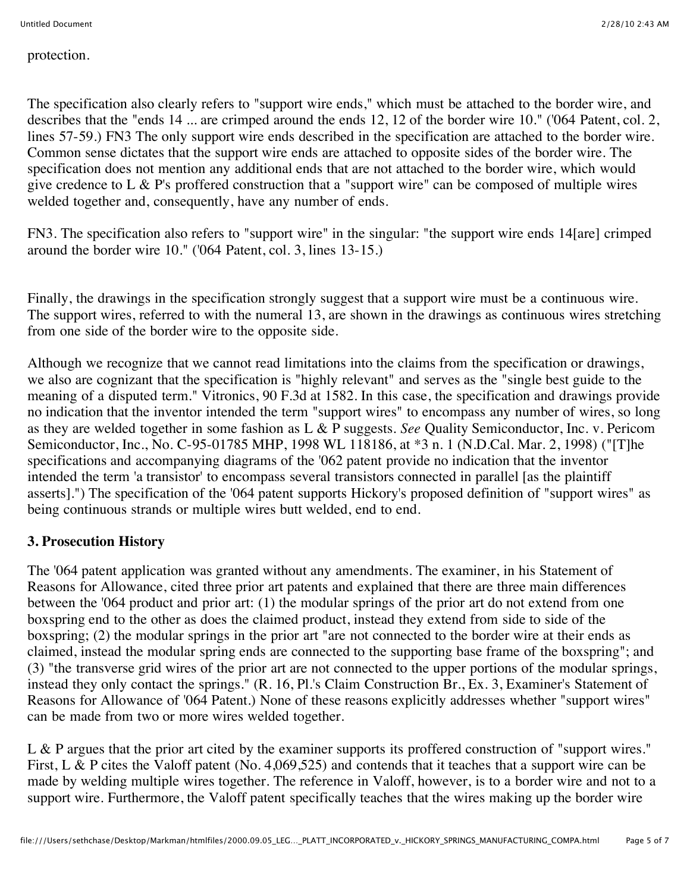protection.

The specification also clearly refers to "support wire ends," which must be attached to the border wire, and describes that the "ends 14 ... are crimped around the ends 12, 12 of the border wire 10." ('064 Patent, col. 2, lines 57-59.) FN3 The only support wire ends described in the specification are attached to the border wire. Common sense dictates that the support wire ends are attached to opposite sides of the border wire. The specification does not mention any additional ends that are not attached to the border wire, which would give credence to L & P's proffered construction that a "support wire" can be composed of multiple wires welded together and, consequently, have any number of ends.

FN3. The specification also refers to "support wire" in the singular: "the support wire ends 14[are] crimped around the border wire 10." ('064 Patent, col. 3, lines 13-15.)

Finally, the drawings in the specification strongly suggest that a support wire must be a continuous wire. The support wires, referred to with the numeral 13, are shown in the drawings as continuous wires stretching from one side of the border wire to the opposite side.

Although we recognize that we cannot read limitations into the claims from the specification or drawings, we also are cognizant that the specification is "highly relevant" and serves as the "single best guide to the meaning of a disputed term." Vitronics, 90 F.3d at 1582. In this case, the specification and drawings provide no indication that the inventor intended the term "support wires" to encompass any number of wires, so long as they are welded together in some fashion as L & P suggests. *See* Quality Semiconductor, Inc. v. Pericom Semiconductor, Inc., No. C-95-01785 MHP, 1998 WL 118186, at \*3 n. 1 (N.D.Cal. Mar. 2, 1998) ("[T]he specifications and accompanying diagrams of the '062 patent provide no indication that the inventor intended the term 'a transistor' to encompass several transistors connected in parallel [as the plaintiff asserts].") The specification of the '064 patent supports Hickory's proposed definition of "support wires" as being continuous strands or multiple wires butt welded, end to end.

### **3. Prosecution History**

The '064 patent application was granted without any amendments. The examiner, in his Statement of Reasons for Allowance, cited three prior art patents and explained that there are three main differences between the '064 product and prior art: (1) the modular springs of the prior art do not extend from one boxspring end to the other as does the claimed product, instead they extend from side to side of the boxspring; (2) the modular springs in the prior art "are not connected to the border wire at their ends as claimed, instead the modular spring ends are connected to the supporting base frame of the boxspring"; and (3) "the transverse grid wires of the prior art are not connected to the upper portions of the modular springs, instead they only contact the springs." (R. 16, Pl.'s Claim Construction Br., Ex. 3, Examiner's Statement of Reasons for Allowance of '064 Patent.) None of these reasons explicitly addresses whether "support wires" can be made from two or more wires welded together.

L & P argues that the prior art cited by the examiner supports its proffered construction of "support wires." First, L & P cites the Valoff patent (No. 4,069,525) and contends that it teaches that a support wire can be made by welding multiple wires together. The reference in Valoff, however, is to a border wire and not to a support wire. Furthermore, the Valoff patent specifically teaches that the wires making up the border wire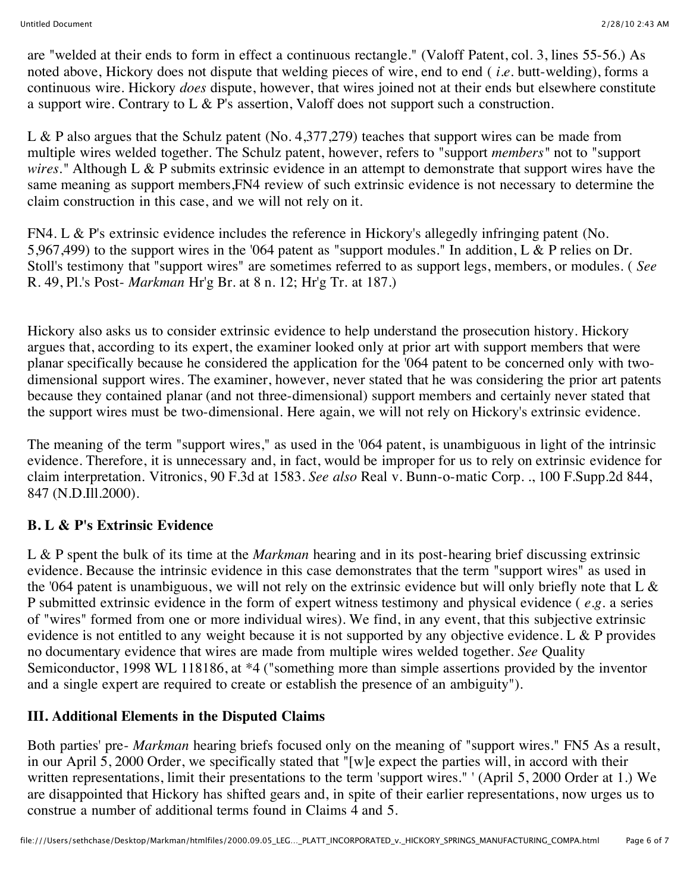are "welded at their ends to form in effect a continuous rectangle." (Valoff Patent, col. 3, lines 55-56.) As noted above, Hickory does not dispute that welding pieces of wire, end to end ( *i.e.* butt-welding), forms a continuous wire. Hickory *does* dispute, however, that wires joined not at their ends but elsewhere constitute a support wire. Contrary to L & P's assertion, Valoff does not support such a construction.

L & P also argues that the Schulz patent (No. 4,377,279) teaches that support wires can be made from multiple wires welded together. The Schulz patent, however, refers to "support *members"* not to "support *wires."* Although L & P submits extrinsic evidence in an attempt to demonstrate that support wires have the same meaning as support members,FN4 review of such extrinsic evidence is not necessary to determine the claim construction in this case, and we will not rely on it.

FN4. L & P's extrinsic evidence includes the reference in Hickory's allegedly infringing patent (No. 5,967,499) to the support wires in the '064 patent as "support modules." In addition, L & P relies on Dr. Stoll's testimony that "support wires" are sometimes referred to as support legs, members, or modules. ( *See* R. 49, Pl.'s Post- *Markman* Hr'g Br. at 8 n. 12; Hr'g Tr. at 187.)

Hickory also asks us to consider extrinsic evidence to help understand the prosecution history. Hickory argues that, according to its expert, the examiner looked only at prior art with support members that were planar specifically because he considered the application for the '064 patent to be concerned only with twodimensional support wires. The examiner, however, never stated that he was considering the prior art patents because they contained planar (and not three-dimensional) support members and certainly never stated that the support wires must be two-dimensional. Here again, we will not rely on Hickory's extrinsic evidence.

The meaning of the term "support wires," as used in the '064 patent, is unambiguous in light of the intrinsic evidence. Therefore, it is unnecessary and, in fact, would be improper for us to rely on extrinsic evidence for claim interpretation. Vitronics, 90 F.3d at 1583. *See also* Real v. Bunn-o-matic Corp. ., 100 F.Supp.2d 844, 847 (N.D.Ill.2000).

### **B. L & P's Extrinsic Evidence**

L & P spent the bulk of its time at the *Markman* hearing and in its post-hearing brief discussing extrinsic evidence. Because the intrinsic evidence in this case demonstrates that the term "support wires" as used in the '064 patent is unambiguous, we will not rely on the extrinsic evidence but will only briefly note that L & P submitted extrinsic evidence in the form of expert witness testimony and physical evidence ( *e.g.* a series of "wires" formed from one or more individual wires). We find, in any event, that this subjective extrinsic evidence is not entitled to any weight because it is not supported by any objective evidence. L & P provides no documentary evidence that wires are made from multiple wires welded together. *See* Quality Semiconductor, 1998 WL 118186, at \*4 ("something more than simple assertions provided by the inventor and a single expert are required to create or establish the presence of an ambiguity").

### **III. Additional Elements in the Disputed Claims**

Both parties' pre- *Markman* hearing briefs focused only on the meaning of "support wires." FN5 As a result, in our April 5, 2000 Order, we specifically stated that "[w]e expect the parties will, in accord with their written representations, limit their presentations to the term 'support wires." ' (April 5, 2000 Order at 1.) We are disappointed that Hickory has shifted gears and, in spite of their earlier representations, now urges us to construe a number of additional terms found in Claims 4 and 5.